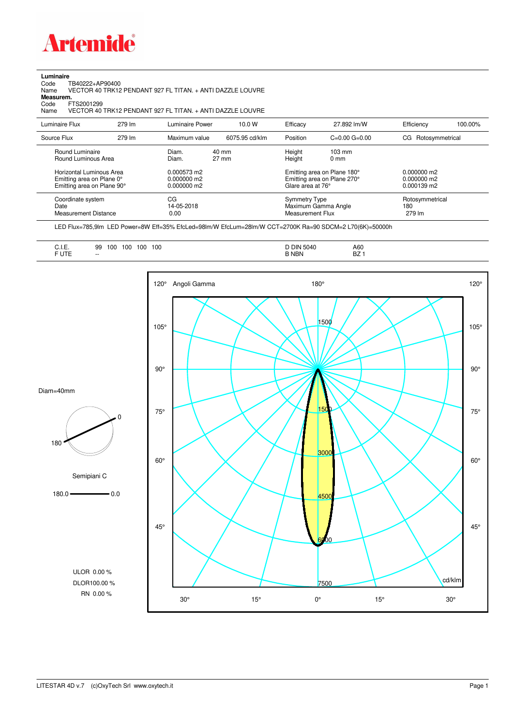

## **Luminaire**

Code TB40222+AP90400 Name VECTOR 40 TRK12 PENDANT 927 FL TITAN. + ANTI DAZZLE LOUVRE Code TI<br>Name V<br>**Measurem.** 

Code FTS2001299<br>Name VECTOR 40 Name VECTOR 40 TRK12 PENDANT 927 FL TITAN. + ANTI DAZZLE LOUVRE

| Luminaire Flux                                                     | 279 lm | Luminaire Power                                  | 10.0 W                   | Efficacy                                                                                                             | 27.892 lm/W         | Efficiency                       | 100.00% |
|--------------------------------------------------------------------|--------|--------------------------------------------------|--------------------------|----------------------------------------------------------------------------------------------------------------------|---------------------|----------------------------------|---------|
| Source Flux                                                        | 279 lm | Maximum value                                    | 6075.95 cd/klm           | Position                                                                                                             | $C=0.00$ $G=0.00$   | CG Rotosymmetrical               |         |
| Round Luminaire<br>Round Luminous Area<br>Horizontal Luminous Area |        | Diam.<br>Diam.<br>$0.000573$ m2<br>$0.000000$ m2 | 40 mm<br>$27 \text{ mm}$ | Height<br>$103 \text{ mm}$<br>Height<br>$0 \text{ mm}$<br>Emitting area on Plane 180°<br>Emitting area on Plane 270° |                     | $0.000000$ m2<br>$0.000000$ m2   |         |
| Emitting area on Plane 0°<br>Emitting area on Plane 90°            |        | $0.000000$ m2                                    |                          | Glare area at 76°                                                                                                    |                     | $0.000139 \text{ m}$             |         |
| Coordinate system<br>Date<br>Measurement Distance                  |        | CG<br>14-05-2018<br>0.00                         |                          | Symmetry Type<br>Measurement Flux                                                                                    | Maximum Gamma Angle | Rotosymmetrical<br>180<br>279 lm |         |

LED Flux=785,9lm LED Power=8W Eff=35% EfcLed=98lm/W EfcLum=28lm/W CCT=2700K Ra=90 SDCM=2 L70(6K)=50000h